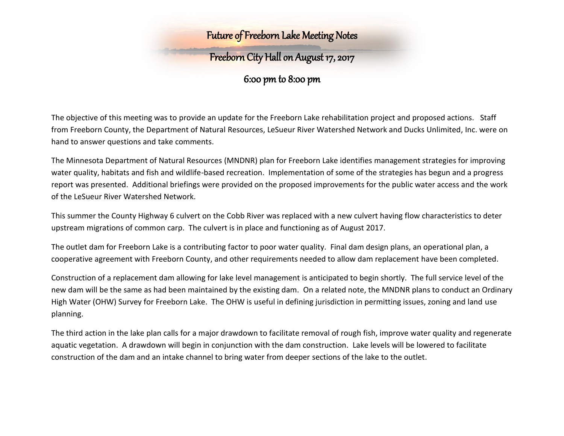## Future of Freeborn Lake Meeting Notes

# Freeborn City Hall on August 17, 2017

### 6:00 pm to 8:00 pm

The objective of this meeting was to provide an update for the Freeborn Lake rehabilitation project and proposed actions. Staff from Freeborn County, the Department of Natural Resources, LeSueur River Watershed Network and Ducks Unlimited, Inc. were on hand to answer questions and take comments.

The Minnesota Department of Natural Resources (MNDNR) plan for Freeborn Lake identifies management strategies for improving water quality, habitats and fish and wildlife-based recreation. Implementation of some of the strategies has begun and a progress report was presented. Additional briefings were provided on the proposed improvements for the public water access and the work of the LeSueur River Watershed Network.

This summer the County Highway 6 culvert on the Cobb River was replaced with a new culvert having flow characteristics to deter upstream migrations of common carp. The culvert is in place and functioning as of August 2017.

The outlet dam for Freeborn Lake is a contributing factor to poor water quality. Final dam design plans, an operational plan, a cooperative agreement with Freeborn County, and other requirements needed to allow dam replacement have been completed.

Construction of a replacement dam allowing for lake level management is anticipated to begin shortly. The full service level of the new dam will be the same as had been maintained by the existing dam. On a related note, the MNDNR plans to conduct an Ordinary High Water (OHW) Survey for Freeborn Lake. The OHW is useful in defining jurisdiction in permitting issues, zoning and land use planning.

The third action in the lake plan calls for a major drawdown to facilitate removal of rough fish, improve water quality and regenerate aquatic vegetation. A drawdown will begin in conjunction with the dam construction. Lake levels will be lowered to facilitate construction of the dam and an intake channel to bring water from deeper sections of the lake to the outlet.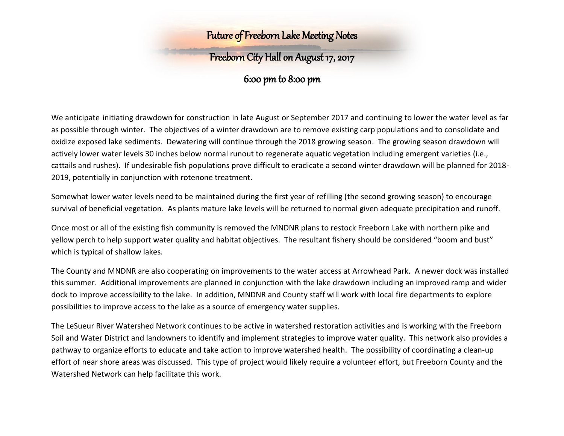## Future of Freeborn Lake Meeting Notes

# Freeborn City Hall on August 17, 2017

### 6:00 pm to 8:00 pm

We anticipate initiating drawdown for construction in late August or September 2017 and continuing to lower the water level as far as possible through winter. The objectives of a winter drawdown are to remove existing carp populations and to consolidate and oxidize exposed lake sediments. Dewatering will continue through the 2018 growing season. The growing season drawdown will actively lower water levels 30 inches below normal runout to regenerate aquatic vegetation including emergent varieties (i.e., cattails and rushes). If undesirable fish populations prove difficult to eradicate a second winter drawdown will be planned for 2018- 2019, potentially in conjunction with rotenone treatment.

Somewhat lower water levels need to be maintained during the first year of refilling (the second growing season) to encourage survival of beneficial vegetation. As plants mature lake levels will be returned to normal given adequate precipitation and runoff.

Once most or all of the existing fish community is removed the MNDNR plans to restock Freeborn Lake with northern pike and yellow perch to help support water quality and habitat objectives. The resultant fishery should be considered "boom and bust" which is typical of shallow lakes.

The County and MNDNR are also cooperating on improvements to the water access at Arrowhead Park. A newer dock was installed this summer. Additional improvements are planned in conjunction with the lake drawdown including an improved ramp and wider dock to improve accessibility to the lake. In addition, MNDNR and County staff will work with local fire departments to explore possibilities to improve access to the lake as a source of emergency water supplies.

The LeSueur River Watershed Network continues to be active in watershed restoration activities and is working with the Freeborn Soil and Water District and landowners to identify and implement strategies to improve water quality. This network also provides a pathway to organize efforts to educate and take action to improve watershed health. The possibility of coordinating a clean-up effort of near shore areas was discussed. This type of project would likely require a volunteer effort, but Freeborn County and the Watershed Network can help facilitate this work.